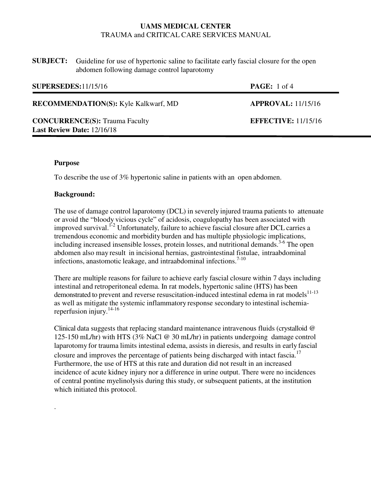| <b>SUBJECT:</b> Guideline for use of hypertonic saline to facilitate early fascial closure for the open |
|---------------------------------------------------------------------------------------------------------|
| abdomen following damage control laparotomy                                                             |

| <b>SUPERSEDES:</b> 11/15/16                                                | <b>PAGE:</b> 1 of 4        |
|----------------------------------------------------------------------------|----------------------------|
| <b>RECOMMENDATION(S):</b> Kyle Kalkwarf, MD                                | APPROVAL: 11/15/16         |
| <b>CONCURRENCE(S): Trauma Faculty</b><br><b>Last Review Date: 12/16/18</b> | <b>EFFECTIVE: 11/15/16</b> |

## **Purpose**

.

To describe the use of 3% hypertonic saline in patients with an open abdomen.

#### **Background:**

The use of damage control laparotomy (DCL) in severely injured trauma patients to attenuate or avoid the "bloody vicious cycle" of acidosis, coagulopathy has been associated with improved survival.<sup>1-2</sup> Unfortunately, failure to achieve fascial closure after DCL carries a tremendous economic and morbidity burden and has multiple physiologic implications, including increased insensible losses, protein losses, and nutritional demands.<sup>3-6</sup> The open abdomen also may result in incisional hernias, gastrointestinal fistulae, intraabdominal infections, anastomotic leakage, and intraabdominal infections.<sup>7-10</sup>

There are multiple reasons for failure to achieve early fascial closure within 7 days including intestinal and retroperitoneal edema. In rat models, hypertonic saline (HTS) has been demonstrated to prevent and reverse resuscitation-induced intestinal edema in rat models $11-13$ as well as mitigate the systemic inflammatory response secondary to intestinal ischemiareperfusion injury.14-16

Clinical data suggests that replacing standard maintenance intravenous fluids (crystalloid @ 125-150 mL/hr) with HTS (3% NaCl @ 30 mL/hr) in patients undergoing damage control laparotomy for trauma limits intestinal edema, assists in dieresis, and results in early fascial closure and improves the percentage of patients being discharged with intact fascia.<sup>17</sup> Furthermore, the use of HTS at this rate and duration did not result in an increased incidence of acute kidney injury nor a difference in urine output. There were no incidences of central pontine myelinolysis during this study, or subsequent patients, at the institution which initiated this protocol.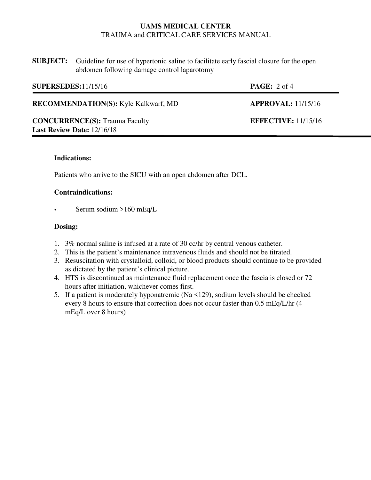| <b>SUBJECT:</b> Guideline for use of hypertonic saline to facilitate early fascial closure for the open |
|---------------------------------------------------------------------------------------------------------|
| abdomen following damage control laparotomy                                                             |

| <b>SUPERSEDES:</b> 11/15/16                                                | <b>PAGE:</b> $2 \text{ of } 4$ |
|----------------------------------------------------------------------------|--------------------------------|
| <b>RECOMMENDATION(S):</b> Kyle Kalkwarf, MD                                | <b>APPROVAL:</b> 11/15/16      |
| <b>CONCURRENCE(S): Trauma Faculty</b><br><b>Last Review Date: 12/16/18</b> | <b>EFFECTIVE: 11/15/16</b>     |

### **Indications:**

Patients who arrive to the SICU with an open abdomen after DCL.

#### **Contraindications:**

• Serum sodium >160 mEq/L

#### **Dosing:**

- 1. 3% normal saline is infused at a rate of 30 cc/hr by central venous catheter.
- 2. This is the patient's maintenance intravenous fluids and should not be titrated.
- 3. Resuscitation with crystalloid, colloid, or blood products should continue to be provided as dictated by the patient's clinical picture.
- 4. HTS is discontinued as maintenance fluid replacement once the fascia is closed or 72 hours after initiation, whichever comes first.
- 5. If a patient is moderately hyponatremic (Na <129), sodium levels should be checked every 8 hours to ensure that correction does not occur faster than 0.5 mEq/L/hr (4 mEq/L over 8 hours)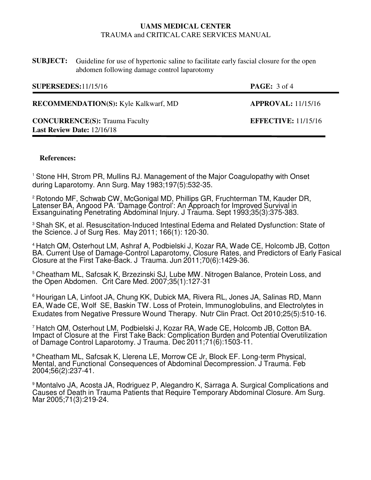| <b>SUBJECT:</b> Guideline for use of hypertonic saline to facilitate early fascial closure for the open |
|---------------------------------------------------------------------------------------------------------|
| abdomen following damage control laparotomy                                                             |

| <b>SUPERSEDES:</b> 11/15/16                                                | <b>PAGE:</b> $3$ of 4      |
|----------------------------------------------------------------------------|----------------------------|
| <b>RECOMMENDATION(S):</b> Kyle Kalkwarf, MD                                | <b>APPROVAL:</b> 11/15/16  |
| <b>CONCURRENCE(S): Trauma Faculty</b><br><b>Last Review Date: 12/16/18</b> | <b>EFFECTIVE:</b> 11/15/16 |

## **References:**

<sup>1</sup>Stone HH, Strom PR, Mullins RJ. Management of the Major Coagulopathy with Onset during Laparotomy. Ann Surg. May 1983;197(5):532-35.

<sup>2</sup> Rotondo MF, Schwab CW, McGonigal MD, Phillips GR, Fruchterman TM, Kauder DR, Latenser BA, Angood PA. 'Damage Control': An Approach for Improved Survival in Exsanguinating Penetrating Abdominal Injury. J Trauma. Sept 1993;35(3):375-383.

<sup>3</sup> Shah SK, et al. Resuscitation-Induced Intestinal Edema and Related Dysfunction: State of the Science. J of Surg Res. May 2011; 166(1): 120-30.

<sup>4</sup>Hatch QM, Osterhout LM, Ashraf A, Podbielski J, Kozar RA, Wade CE, Holcomb JB, Cotton BA. Current Use of Damage-Control Laparotomy, Closure Rates, and Predictors of Early Fasical Closure at the First Take-Back. J Trauma. Jun 2011;70(6):1429-36.

<sup>5</sup>Cheatham ML, Safcsak K, Brzezinski SJ, Lube MW. Nitrogen Balance, Protein Loss, and the Open Abdomen. Crit Care Med. 2007;35(1):127-31

<sup>6</sup> Hourigan LA, Linfoot JA, Chung KK, Dubick MA, Rivera RL, Jones JA, Salinas RD, Mann EA, Wade CE, Wolf SE, Baskin TW. Loss of Protein, Immunoglobulins, and Electrolytes in Exudates from Negative Pressure Wound Therapy. Nutr Clin Pract. Oct 2010;25(5):510-16.

<sup>7</sup>Hatch QM, Osterhout LM, Podbielski J, Kozar RA, Wade CE, Holcomb JB, Cotton BA. Impact of Closure at the First Take Back: Complication Burden and Potential Overutilization of Damage Control Laparotomy. J Trauma. Dec 2011;71(6):1503-11.

<sup>8</sup> Cheatham ML, Safcsak K, Llerena LE, Morrow CE Jr, Block EF, Long-term Physical, Mental, and Functional Consequences of Abdominal Decompression. J Trauma. Feb 2004;56(2):237-41.

<sup>9</sup> Montalvo JA, Acosta JA, Rodriguez P, Alegandro K, Sarraga A. Surgical Complications and Causes of Death in Trauma Patients that Require Temporary Abdominal Closure. Am Surg. Mar 2005;71(3):219-24.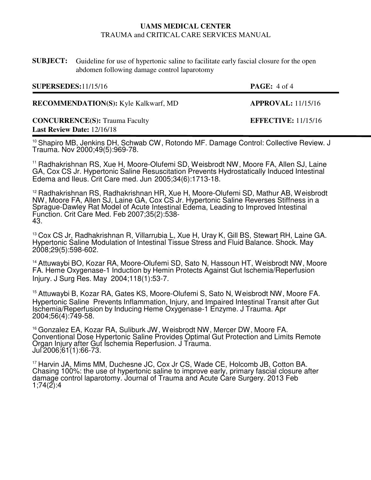**SUBJECT:** Guideline for use of hypertonic saline to facilitate early fascial closure for the open abdomen following damage control laparotomy

| <b>SUPERSEDES:</b> 11/15/16                                                | <b>PAGE:</b> $4$ of $4$ |
|----------------------------------------------------------------------------|-------------------------|
| <b>RECOMMENDATION(S):</b> Kyle Kalkwarf, MD                                | APPROVAL: 11/15/16      |
| <b>CONCURRENCE(S): Trauma Faculty</b><br><b>Last Review Date: 12/16/18</b> | EFFECTIVE: $11/15/16$   |

<sup>10</sup> Shapiro MB, Jenkins DH, Schwab CW, Rotondo MF. Damage Control: Collective Review. J Trauma. Nov 2000;49(5):969-78.

<sup>11</sup> Radhakrishnan RS, Xue H, Moore-Olufemi SD, Weisbrodt NW, Moore FA, Allen SJ, Laine GA, Cox CS Jr. Hypertonic Saline Resuscitation Prevents Hydrostatically Induced Intestinal Edema and Ileus. Crit Care med. Jun 2005;34(6):1713-18.

<sup>12</sup> Radhakrishnan RS, Radhakrishnan HR, Xue H, Moore-Olufemi SD, Mathur AB, Weisbrodt NW, Moore FA, Allen SJ, Laine GA, Cox CS Jr. Hypertonic Saline Reverses Stiffness in a Sprague-Dawley Rat Model of Acute Intestinal Edema, Leading to Improved Intestinal Function. Crit Care Med. Feb 2007;35(2):538- 43.

<sup>13</sup> Cox CS Jr, Radhakrishnan R, Villarrubia L, Xue H, Uray K, Gill BS, Stewart RH, Laine GA. Hypertonic Saline Modulation of Intestinal Tissue Stress and Fluid Balance. Shock. May 2008;29(5):598-602.

<sup>14</sup> Attuwaybi BO, Kozar RA, Moore-Olufemi SD, Sato N, Hassoun HT, Weisbrodt NW, Moore FA. Heme Oxygenase-1 Induction by Hemin Protects Against Gut Ischemia/Reperfusion Injury. J Surg Res. May 2004;118(1):53-7.

<sup>15</sup> Attuwaybi B, Kozar RA, Gates KS, Moore-Olufemi S, Sato N, Weisbrodt NW, Moore FA. Hypertonic Saline Prevents Inflammation, Injury, and Impaired Intestinal Transit after Gut Ischemia/Reperfusion by Inducing Heme Oxygenase-1 Enzyme. J Trauma. Apr 2004;56(4):749-58.

<sup>16</sup> Gonzalez EA, Kozar RA, Suliburk JW, Weisbrodt NW, Mercer DW, Moore FA. Conventional Dose Hypertonic Saline Provides Optimal Gut Protection and Limits Remote Organ Injury after Gut Ischemia Reperfusion. J Trauma. Jul 2006;61(1):66-73.

<sup>17</sup> Harvin JA, Mims MM, Duchesne JC, Cox Jr CS, Wade CE, Holcomb JB, Cotton BA. Chasing 100%: the use of hypertonic saline to improve early, primary fascial closure after damage control laparotomy. Journal of Trauma and Acute Care Surgery. 2013 Feb  $1;74(2):4$